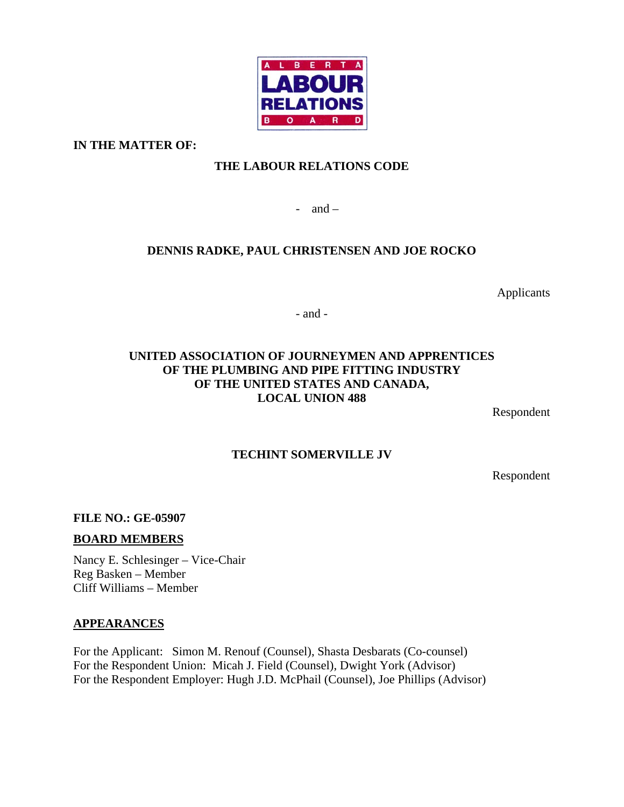

**IN THE MATTER OF:** 

# **THE LABOUR RELATIONS CODE**

- and  $-$ 

# **DENNIS RADKE, PAUL CHRISTENSEN AND JOE ROCKO**

Applicants

- and -

## **UNITED ASSOCIATION OF JOURNEYMEN AND APPRENTICES OF THE PLUMBING AND PIPE FITTING INDUSTRY OF THE UNITED STATES AND CANADA, LOCAL UNION 488**

Respondent

## **TECHINT SOMERVILLE JV**

Respondent

**FILE NO.: GE-05907** 

### **BOARD MEMBERS**

Nancy E. Schlesinger – Vice-Chair Reg Basken – Member Cliff Williams – Member

### **APPEARANCES**

For the Applicant: Simon M. Renouf (Counsel), Shasta Desbarats (Co-counsel) For the Respondent Union: Micah J. Field (Counsel), Dwight York (Advisor) For the Respondent Employer: Hugh J.D. McPhail (Counsel), Joe Phillips (Advisor)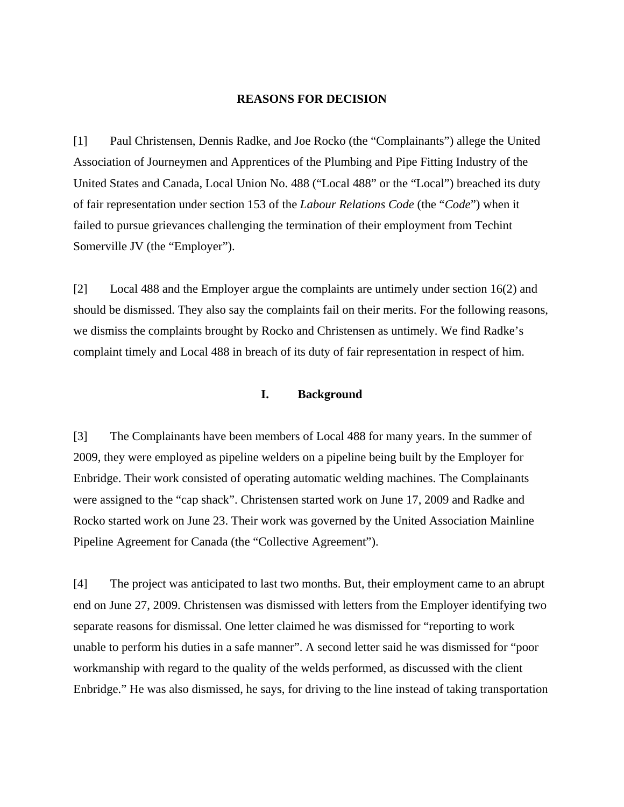#### **REASONS FOR DECISION**

[1] Paul Christensen, Dennis Radke, and Joe Rocko (the "Complainants") allege the United Association of Journeymen and Apprentices of the Plumbing and Pipe Fitting Industry of the United States and Canada, Local Union No. 488 ("Local 488" or the "Local") breached its duty of fair representation under section 153 of the *Labour Relations Code* (the "*Code*") when it failed to pursue grievances challenging the termination of their employment from Techint Somerville JV (the "Employer").

[2] Local 488 and the Employer argue the complaints are untimely under section 16(2) and should be dismissed. They also say the complaints fail on their merits. For the following reasons, we dismiss the complaints brought by Rocko and Christensen as untimely. We find Radke's complaint timely and Local 488 in breach of its duty of fair representation in respect of him.

#### **I. Background**

[3] The Complainants have been members of Local 488 for many years. In the summer of 2009, they were employed as pipeline welders on a pipeline being built by the Employer for Enbridge. Their work consisted of operating automatic welding machines. The Complainants were assigned to the "cap shack". Christensen started work on June 17, 2009 and Radke and Rocko started work on June 23. Their work was governed by the United Association Mainline Pipeline Agreement for Canada (the "Collective Agreement").

[4] The project was anticipated to last two months. But, their employment came to an abrupt end on June 27, 2009. Christensen was dismissed with letters from the Employer identifying two separate reasons for dismissal. One letter claimed he was dismissed for "reporting to work unable to perform his duties in a safe manner". A second letter said he was dismissed for "poor workmanship with regard to the quality of the welds performed, as discussed with the client Enbridge." He was also dismissed, he says, for driving to the line instead of taking transportation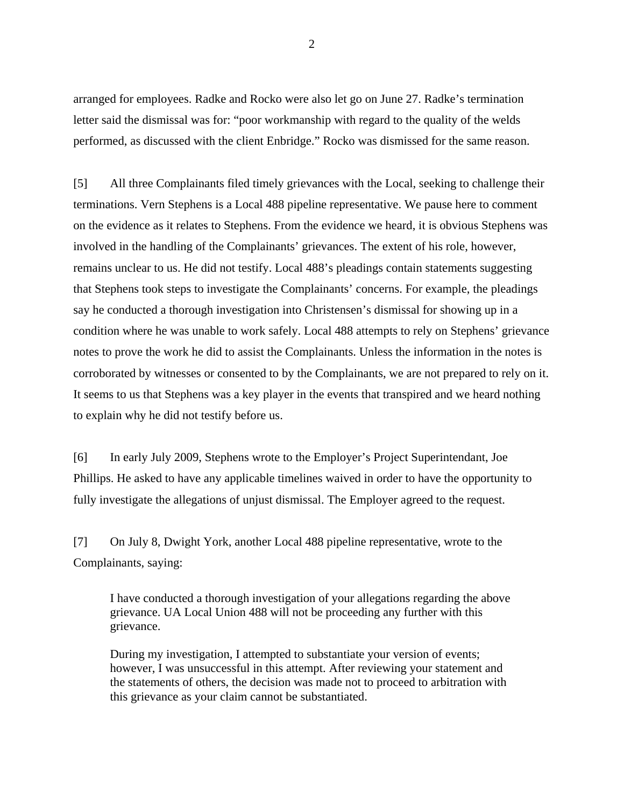arranged for employees. Radke and Rocko were also let go on June 27. Radke's termination letter said the dismissal was for: "poor workmanship with regard to the quality of the welds performed, as discussed with the client Enbridge." Rocko was dismissed for the same reason.

[5] All three Complainants filed timely grievances with the Local, seeking to challenge their terminations. Vern Stephens is a Local 488 pipeline representative. We pause here to comment on the evidence as it relates to Stephens. From the evidence we heard, it is obvious Stephens was involved in the handling of the Complainants' grievances. The extent of his role, however, remains unclear to us. He did not testify. Local 488's pleadings contain statements suggesting that Stephens took steps to investigate the Complainants' concerns. For example, the pleadings say he conducted a thorough investigation into Christensen's dismissal for showing up in a condition where he was unable to work safely. Local 488 attempts to rely on Stephens' grievance notes to prove the work he did to assist the Complainants. Unless the information in the notes is corroborated by witnesses or consented to by the Complainants, we are not prepared to rely on it. It seems to us that Stephens was a key player in the events that transpired and we heard nothing to explain why he did not testify before us.

[6] In early July 2009, Stephens wrote to the Employer's Project Superintendant, Joe Phillips. He asked to have any applicable timelines waived in order to have the opportunity to fully investigate the allegations of unjust dismissal. The Employer agreed to the request.

[7] On July 8, Dwight York, another Local 488 pipeline representative, wrote to the Complainants, saying:

I have conducted a thorough investigation of your allegations regarding the above grievance. UA Local Union 488 will not be proceeding any further with this grievance.

During my investigation, I attempted to substantiate your version of events; however, I was unsuccessful in this attempt. After reviewing your statement and the statements of others, the decision was made not to proceed to arbitration with this grievance as your claim cannot be substantiated.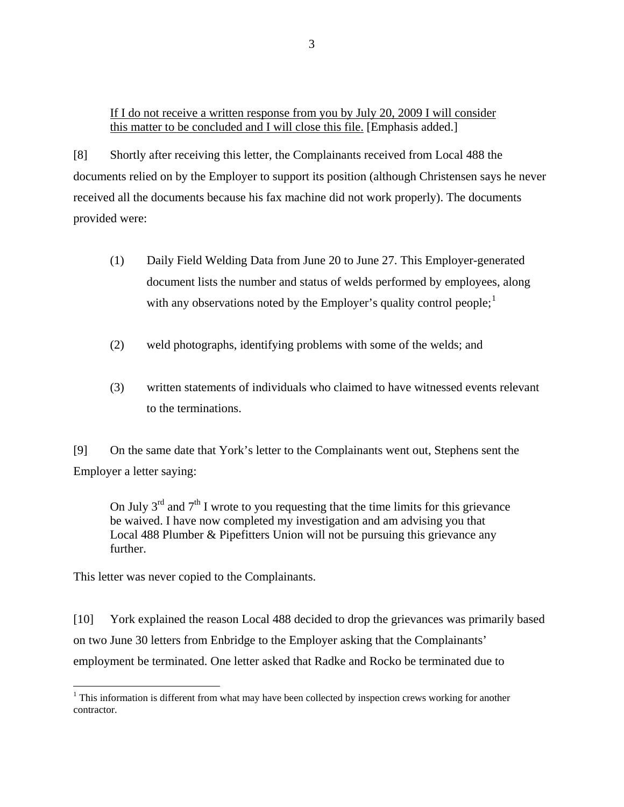If I do not receive a written response from you by July 20, 2009 I will consider this matter to be concluded and I will close this file. [Emphasis added.]

[8] Shortly after receiving this letter, the Complainants received from Local 488 the documents relied on by the Employer to support its position (although Christensen says he never received all the documents because his fax machine did not work properly). The documents provided were:

- (1) Daily Field Welding Data from June 20 to June 27. This Employer-generated document lists the number and status of welds performed by employees, along with any observations noted by the Employer's quality control people;  $\frac{1}{1}$  $\frac{1}{1}$  $\frac{1}{1}$
- (2) weld photographs, identifying problems with some of the welds; and
- (3) written statements of individuals who claimed to have witnessed events relevant to the terminations.

[9] On the same date that York's letter to the Complainants went out, Stephens sent the Employer a letter saying:

On July  $3<sup>rd</sup>$  and  $7<sup>th</sup>$  I wrote to you requesting that the time limits for this grievance be waived. I have now completed my investigation and am advising you that Local 488 Plumber & Pipefitters Union will not be pursuing this grievance any further.

This letter was never copied to the Complainants.

 $\overline{a}$ 

[10] York explained the reason Local 488 decided to drop the grievances was primarily based on two June 30 letters from Enbridge to the Employer asking that the Complainants' employment be terminated. One letter asked that Radke and Rocko be terminated due to

<span id="page-3-0"></span> $1$ <sup>1</sup> This information is different from what may have been collected by inspection crews working for another contractor.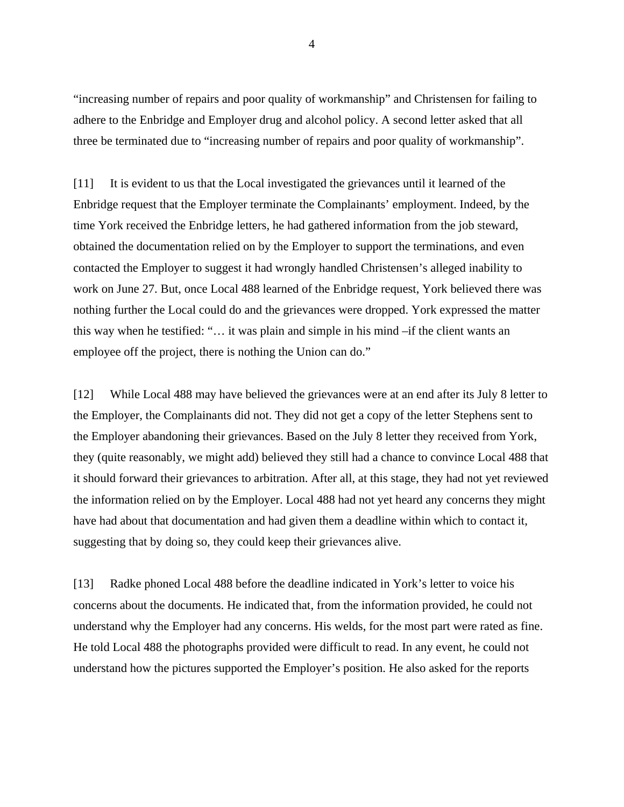"increasing number of repairs and poor quality of workmanship" and Christensen for failing to adhere to the Enbridge and Employer drug and alcohol policy. A second letter asked that all three be terminated due to "increasing number of repairs and poor quality of workmanship".

[11] It is evident to us that the Local investigated the grievances until it learned of the Enbridge request that the Employer terminate the Complainants' employment. Indeed, by the time York received the Enbridge letters, he had gathered information from the job steward, obtained the documentation relied on by the Employer to support the terminations, and even contacted the Employer to suggest it had wrongly handled Christensen's alleged inability to work on June 27. But, once Local 488 learned of the Enbridge request, York believed there was nothing further the Local could do and the grievances were dropped. York expressed the matter this way when he testified: "… it was plain and simple in his mind –if the client wants an employee off the project, there is nothing the Union can do."

[12] While Local 488 may have believed the grievances were at an end after its July 8 letter to the Employer, the Complainants did not. They did not get a copy of the letter Stephens sent to the Employer abandoning their grievances. Based on the July 8 letter they received from York, they (quite reasonably, we might add) believed they still had a chance to convince Local 488 that it should forward their grievances to arbitration. After all, at this stage, they had not yet reviewed the information relied on by the Employer. Local 488 had not yet heard any concerns they might have had about that documentation and had given them a deadline within which to contact it, suggesting that by doing so, they could keep their grievances alive.

[13] Radke phoned Local 488 before the deadline indicated in York's letter to voice his concerns about the documents. He indicated that, from the information provided, he could not understand why the Employer had any concerns. His welds, for the most part were rated as fine. He told Local 488 the photographs provided were difficult to read. In any event, he could not understand how the pictures supported the Employer's position. He also asked for the reports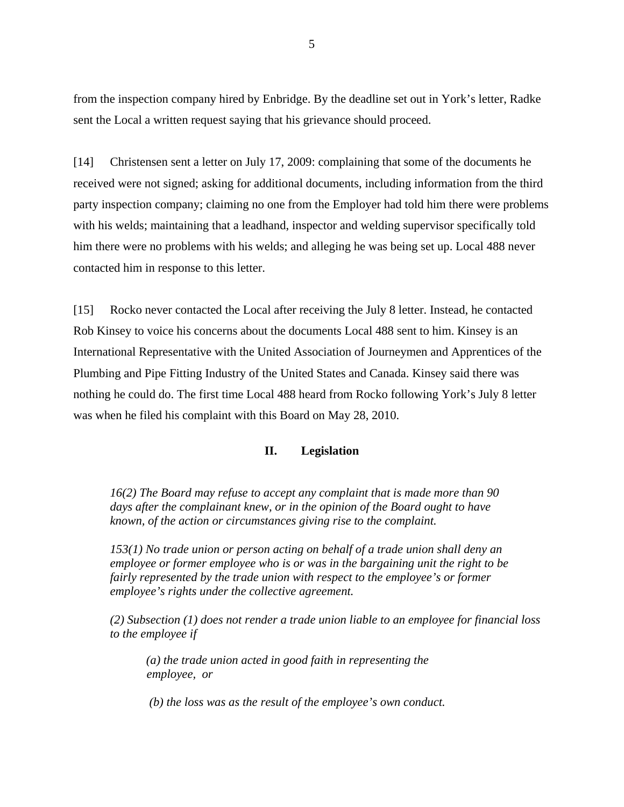from the inspection company hired by Enbridge. By the deadline set out in York's letter, Radke sent the Local a written request saying that his grievance should proceed.

[14] Christensen sent a letter on July 17, 2009: complaining that some of the documents he received were not signed; asking for additional documents, including information from the third party inspection company; claiming no one from the Employer had told him there were problems with his welds; maintaining that a leadhand, inspector and welding supervisor specifically told him there were no problems with his welds; and alleging he was being set up. Local 488 never contacted him in response to this letter.

[15] Rocko never contacted the Local after receiving the July 8 letter. Instead, he contacted Rob Kinsey to voice his concerns about the documents Local 488 sent to him. Kinsey is an International Representative with the United Association of Journeymen and Apprentices of the Plumbing and Pipe Fitting Industry of the United States and Canada. Kinsey said there was nothing he could do. The first time Local 488 heard from Rocko following York's July 8 letter was when he filed his complaint with this Board on May 28, 2010.

#### **II. Legislation**

*16(2) The Board may refuse to accept any complaint that is made more than 90 days after the complainant knew, or in the opinion of the Board ought to have known, of the action or circumstances giving rise to the complaint.* 

*153(1) No trade union or person acting on behalf of a trade union shall deny an employee or former employee who is or was in the bargaining unit the right to be fairly represented by the trade union with respect to the employee's or former employee's rights under the collective agreement.* 

*(2) Subsection (1) does not render a trade union liable to an employee for financial loss to the employee if* 

*(a) the trade union acted in good faith in representing the employee, or* 

*(b) the loss was as the result of the employee's own conduct.*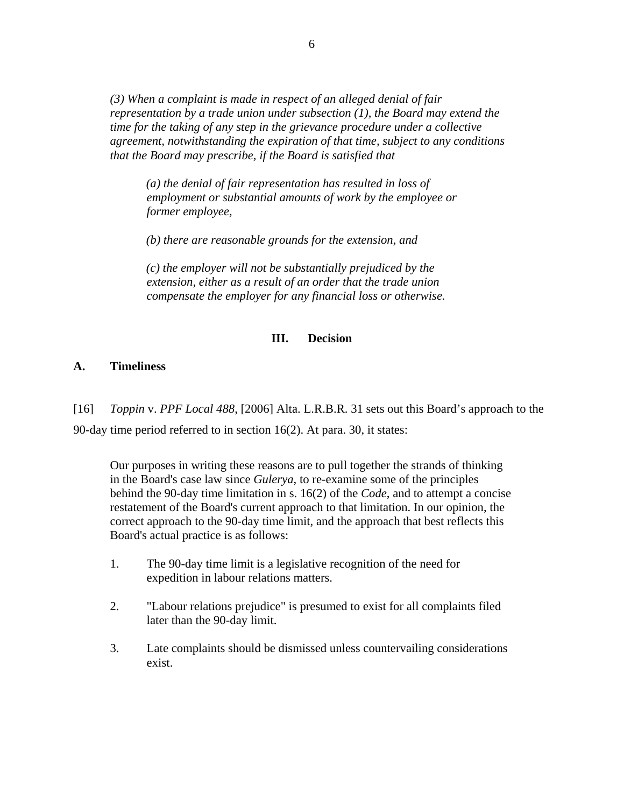*(3) When a complaint is made in respect of an alleged denial of fair representation by a trade union under subsection (1), the Board may extend the time for the taking of any step in the grievance procedure under a collective agreement, notwithstanding the expiration of that time, subject to any conditions that the Board may prescribe, if the Board is satisfied that* 

*(a) the denial of fair representation has resulted in loss of employment or substantial amounts of work by the employee or former employee,* 

*(b) there are reasonable grounds for the extension, and* 

*(c) the employer will not be substantially prejudiced by the extension, either as a result of an order that the trade union compensate the employer for any financial loss or otherwise.* 

#### **III. Decision**

### **A. Timeliness**

[16] *Toppin* v. *PPF Local 488*, [\[2006\] Alta. L.R.B.R. 31](http://ql.quicklaw.com/servlet/qlwbic.qlwbi?qlsid=C1KxygMexwJITjSW&qlcid=00003&qlvrb=QL002&UGET=Q1052754,ALRB) sets out this Board's approach to the 90-day time period referred to in section 16(2). At para. 30, it states:

Our purposes in writing these reasons are to pull together the strands of thinking in the Board's case law since *Gulerya*, to re-examine some of the principles behind the 90-day time limitation in s. 16(2) of the *Code*, and to attempt a concise restatement of the Board's current approach to that limitation. In our opinion, the correct approach to the 90-day time limit, and the approach that best reflects this Board's actual practice is as follows:

- 1. The 90-day time limit is a legislative recognition of the need for expedition in labour relations matters.
- 2. "Labour relations prejudice" is presumed to exist for all complaints filed later than the 90-day limit.
- 3. Late complaints should be dismissed unless countervailing considerations exist.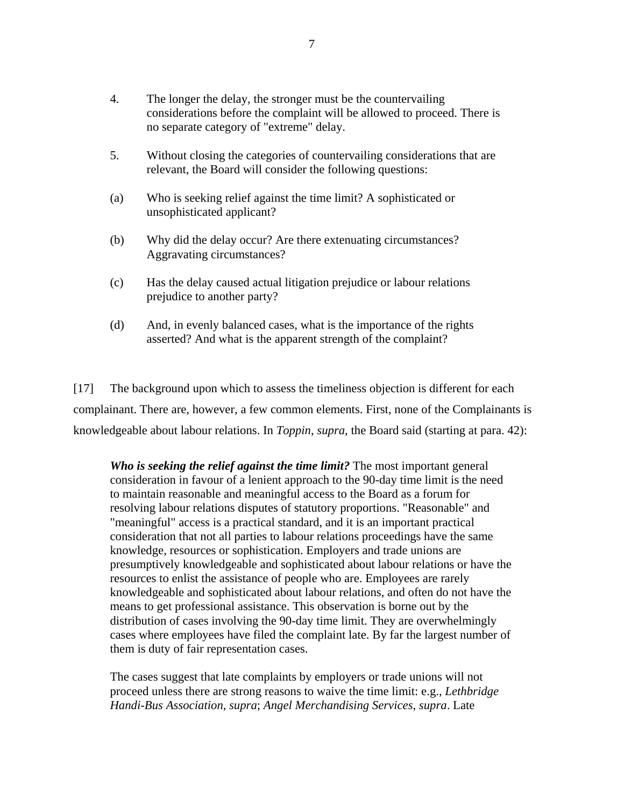- 4. The longer the delay, the stronger must be the countervailing considerations before the complaint will be allowed to proceed. There is no separate category of "extreme" delay.
- 5. Without closing the categories of countervailing considerations that are relevant, the Board will consider the following questions:
- (a) Who is seeking relief against the time limit? A sophisticated or unsophisticated applicant?
- (b) Why did the delay occur? Are there extenuating circumstances? Aggravating circumstances?
- (c) Has the delay caused actual litigation prejudice or labour relations prejudice to another party?
- (d) And, in evenly balanced cases, what is the importance of the rights asserted? And what is the apparent strength of the complaint?

[17] The background upon which to assess the timeliness objection is different for each complainant. There are, however, a few common elements. First, none of the Complainants is knowledgeable about labour relations. In *Toppin*, *supra*, the Board said (starting at para. 42):

*Who is seeking the relief against the time limit?* The most important general consideration in favour of a lenient approach to the 90-day time limit is the need to maintain reasonable and meaningful access to the Board as a forum for resolving labour relations disputes of statutory proportions. "Reasonable" and "meaningful" access is a practical standard, and it is an important practical consideration that not all parties to labour relations proceedings have the same knowledge, resources or sophistication. Employers and trade unions are presumptively knowledgeable and sophisticated about labour relations or have the resources to enlist the assistance of people who are. Employees are rarely knowledgeable and sophisticated about labour relations, and often do not have the means to get professional assistance. This observation is borne out by the distribution of cases involving the 90-day time limit. They are overwhelmingly cases where employees have filed the complaint late. By far the largest number of them is duty of fair representation cases.

The cases suggest that late complaints by employers or trade unions will not proceed unless there are strong reasons to waive the time limit: e.g., *Lethbridge Handi-Bus Association*, *supra*; *Angel Merchandising Services*, *supra*. Late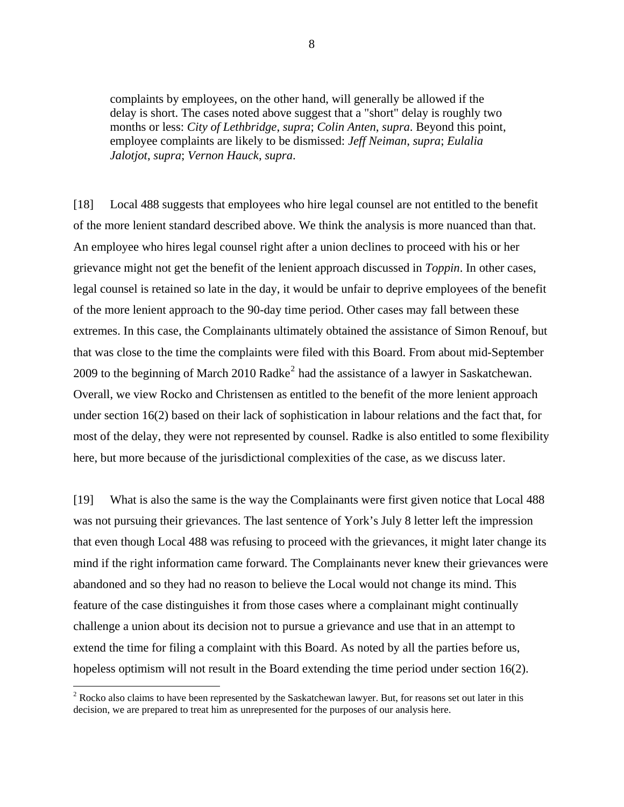complaints by employees, on the other hand, will generally be allowed if the delay is short. The cases noted above suggest that a "short" delay is roughly two months or less: *City of Lethbridge*, *supra*; *Colin Anten*, *supra*. Beyond this point, employee complaints are likely to be dismissed: *Jeff Neiman*, *supra*; *Eulalia Jalotjot*, *supra*; *Vernon Hauck*, *supra*.

[18] Local 488 suggests that employees who hire legal counsel are not entitled to the benefit of the more lenient standard described above. We think the analysis is more nuanced than that. An employee who hires legal counsel right after a union declines to proceed with his or her grievance might not get the benefit of the lenient approach discussed in *Toppin*. In other cases, legal counsel is retained so late in the day, it would be unfair to deprive employees of the benefit of the more lenient approach to the 90-day time period. Other cases may fall between these extremes. In this case, the Complainants ultimately obtained the assistance of Simon Renouf, but that was close to the time the complaints were filed with this Board. From about mid-September [2](#page-8-0)009 to the beginning of March 2010 Radke<sup>2</sup> had the assistance of a lawyer in Saskatchewan. Overall, we view Rocko and Christensen as entitled to the benefit of the more lenient approach under section 16(2) based on their lack of sophistication in labour relations and the fact that, for most of the delay, they were not represented by counsel. Radke is also entitled to some flexibility here, but more because of the jurisdictional complexities of the case, as we discuss later.

[19] What is also the same is the way the Complainants were first given notice that Local 488 was not pursuing their grievances. The last sentence of York's July 8 letter left the impression that even though Local 488 was refusing to proceed with the grievances, it might later change its mind if the right information came forward. The Complainants never knew their grievances were abandoned and so they had no reason to believe the Local would not change its mind. This feature of the case distinguishes it from those cases where a complainant might continually challenge a union about its decision not to pursue a grievance and use that in an attempt to extend the time for filing a complaint with this Board. As noted by all the parties before us, hopeless optimism will not result in the Board extending the time period under section 16(2).

 $\overline{a}$ 

<span id="page-8-0"></span> $2^{2}$  Rocko also claims to have been represented by the Saskatchewan lawyer. But, for reasons set out later in this decision, we are prepared to treat him as unrepresented for the purposes of our analysis here.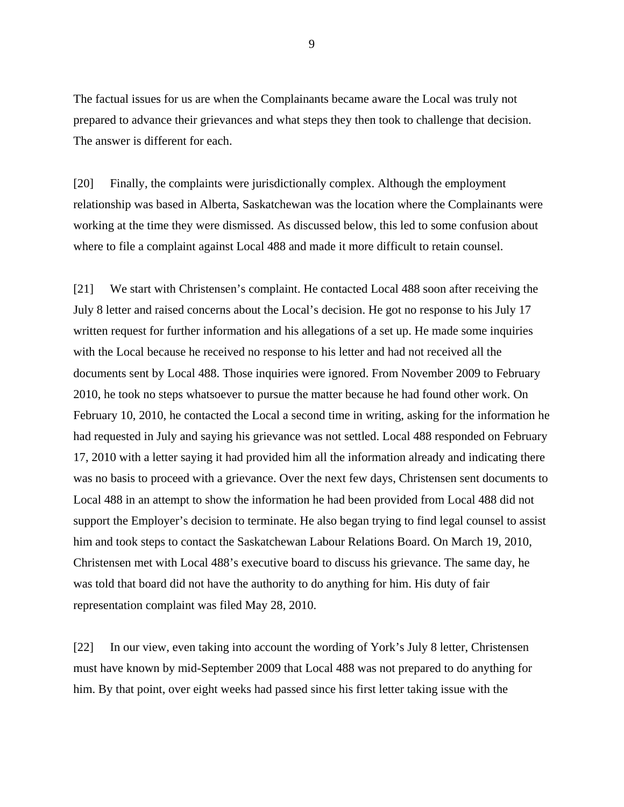The factual issues for us are when the Complainants became aware the Local was truly not prepared to advance their grievances and what steps they then took to challenge that decision. The answer is different for each.

[20] Finally, the complaints were jurisdictionally complex. Although the employment relationship was based in Alberta, Saskatchewan was the location where the Complainants were working at the time they were dismissed. As discussed below, this led to some confusion about where to file a complaint against Local 488 and made it more difficult to retain counsel.

[21] We start with Christensen's complaint. He contacted Local 488 soon after receiving the July 8 letter and raised concerns about the Local's decision. He got no response to his July 17 written request for further information and his allegations of a set up. He made some inquiries with the Local because he received no response to his letter and had not received all the documents sent by Local 488. Those inquiries were ignored. From November 2009 to February 2010, he took no steps whatsoever to pursue the matter because he had found other work. On February 10, 2010, he contacted the Local a second time in writing, asking for the information he had requested in July and saying his grievance was not settled. Local 488 responded on February 17, 2010 with a letter saying it had provided him all the information already and indicating there was no basis to proceed with a grievance. Over the next few days, Christensen sent documents to Local 488 in an attempt to show the information he had been provided from Local 488 did not support the Employer's decision to terminate. He also began trying to find legal counsel to assist him and took steps to contact the Saskatchewan Labour Relations Board. On March 19, 2010, Christensen met with Local 488's executive board to discuss his grievance. The same day, he was told that board did not have the authority to do anything for him. His duty of fair representation complaint was filed May 28, 2010.

[22] In our view, even taking into account the wording of York's July 8 letter, Christensen must have known by mid-September 2009 that Local 488 was not prepared to do anything for him. By that point, over eight weeks had passed since his first letter taking issue with the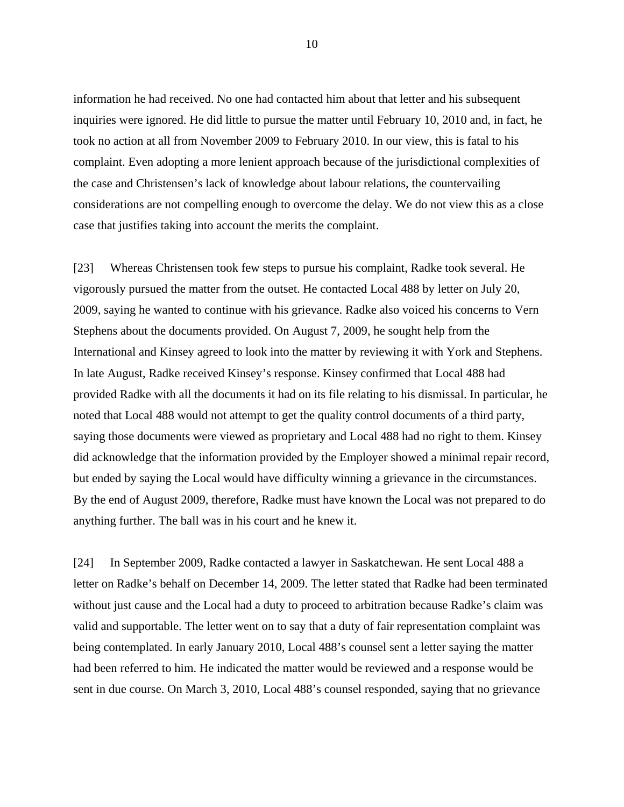information he had received. No one had contacted him about that letter and his subsequent inquiries were ignored. He did little to pursue the matter until February 10, 2010 and, in fact, he took no action at all from November 2009 to February 2010. In our view, this is fatal to his complaint. Even adopting a more lenient approach because of the jurisdictional complexities of the case and Christensen's lack of knowledge about labour relations, the countervailing considerations are not compelling enough to overcome the delay. We do not view this as a close case that justifies taking into account the merits the complaint.

[23] Whereas Christensen took few steps to pursue his complaint, Radke took several. He vigorously pursued the matter from the outset. He contacted Local 488 by letter on July 20, 2009, saying he wanted to continue with his grievance. Radke also voiced his concerns to Vern Stephens about the documents provided. On August 7, 2009, he sought help from the International and Kinsey agreed to look into the matter by reviewing it with York and Stephens. In late August, Radke received Kinsey's response. Kinsey confirmed that Local 488 had provided Radke with all the documents it had on its file relating to his dismissal. In particular, he noted that Local 488 would not attempt to get the quality control documents of a third party, saying those documents were viewed as proprietary and Local 488 had no right to them. Kinsey did acknowledge that the information provided by the Employer showed a minimal repair record, but ended by saying the Local would have difficulty winning a grievance in the circumstances. By the end of August 2009, therefore, Radke must have known the Local was not prepared to do anything further. The ball was in his court and he knew it.

[24] In September 2009, Radke contacted a lawyer in Saskatchewan. He sent Local 488 a letter on Radke's behalf on December 14, 2009. The letter stated that Radke had been terminated without just cause and the Local had a duty to proceed to arbitration because Radke's claim was valid and supportable. The letter went on to say that a duty of fair representation complaint was being contemplated. In early January 2010, Local 488's counsel sent a letter saying the matter had been referred to him. He indicated the matter would be reviewed and a response would be sent in due course. On March 3, 2010, Local 488's counsel responded, saying that no grievance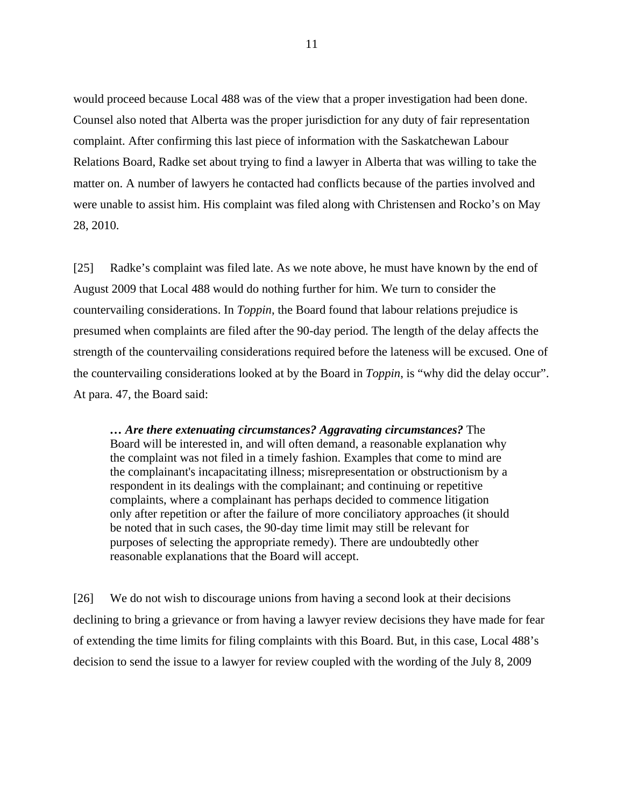would proceed because Local 488 was of the view that a proper investigation had been done. Counsel also noted that Alberta was the proper jurisdiction for any duty of fair representation complaint. After confirming this last piece of information with the Saskatchewan Labour Relations Board, Radke set about trying to find a lawyer in Alberta that was willing to take the matter on. A number of lawyers he contacted had conflicts because of the parties involved and were unable to assist him. His complaint was filed along with Christensen and Rocko's on May 28, 2010.

[25] Radke's complaint was filed late. As we note above, he must have known by the end of August 2009 that Local 488 would do nothing further for him. We turn to consider the countervailing considerations. In *Toppin*, the Board found that labour relations prejudice is presumed when complaints are filed after the 90-day period. The length of the delay affects the strength of the countervailing considerations required before the lateness will be excused. One of the countervailing considerations looked at by the Board in *Toppin*, is "why did the delay occur". At para. 47, the Board said:

*… Are there extenuating circumstances? Aggravating circumstances?* The Board will be interested in, and will often demand, a reasonable explanation why the complaint was not filed in a timely fashion. Examples that come to mind are the complainant's incapacitating illness; misrepresentation or obstructionism by a respondent in its dealings with the complainant; and continuing or repetitive complaints, where a complainant has perhaps decided to commence litigation only after repetition or after the failure of more conciliatory approaches (it should be noted that in such cases, the 90-day time limit may still be relevant for purposes of selecting the appropriate remedy). There are undoubtedly other reasonable explanations that the Board will accept.

[26] We do not wish to discourage unions from having a second look at their decisions declining to bring a grievance or from having a lawyer review decisions they have made for fear of extending the time limits for filing complaints with this Board. But, in this case, Local 488's decision to send the issue to a lawyer for review coupled with the wording of the July 8, 2009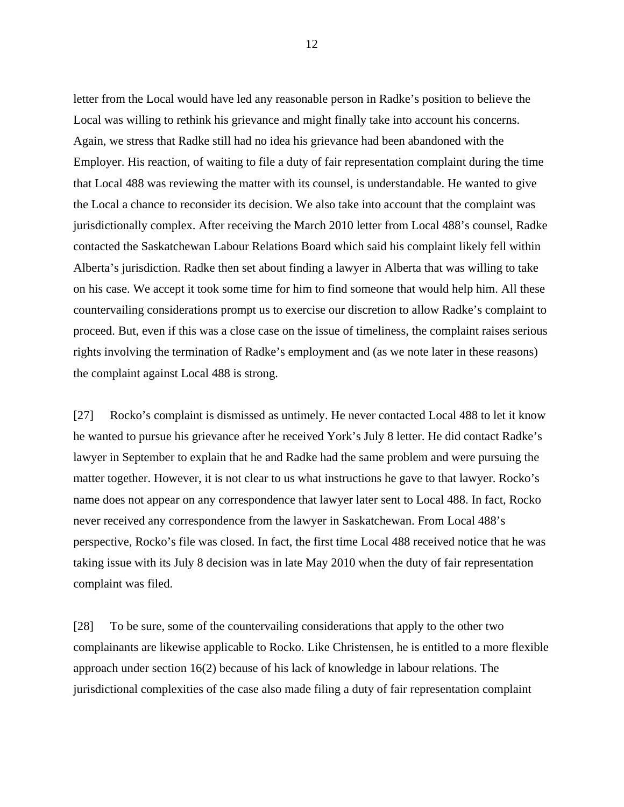letter from the Local would have led any reasonable person in Radke's position to believe the Local was willing to rethink his grievance and might finally take into account his concerns. Again, we stress that Radke still had no idea his grievance had been abandoned with the Employer. His reaction, of waiting to file a duty of fair representation complaint during the time that Local 488 was reviewing the matter with its counsel, is understandable. He wanted to give the Local a chance to reconsider its decision. We also take into account that the complaint was jurisdictionally complex. After receiving the March 2010 letter from Local 488's counsel, Radke contacted the Saskatchewan Labour Relations Board which said his complaint likely fell within Alberta's jurisdiction. Radke then set about finding a lawyer in Alberta that was willing to take on his case. We accept it took some time for him to find someone that would help him. All these countervailing considerations prompt us to exercise our discretion to allow Radke's complaint to proceed. But, even if this was a close case on the issue of timeliness, the complaint raises serious rights involving the termination of Radke's employment and (as we note later in these reasons) the complaint against Local 488 is strong.

[27] Rocko's complaint is dismissed as untimely. He never contacted Local 488 to let it know he wanted to pursue his grievance after he received York's July 8 letter. He did contact Radke's lawyer in September to explain that he and Radke had the same problem and were pursuing the matter together. However, it is not clear to us what instructions he gave to that lawyer. Rocko's name does not appear on any correspondence that lawyer later sent to Local 488. In fact, Rocko never received any correspondence from the lawyer in Saskatchewan. From Local 488's perspective, Rocko's file was closed. In fact, the first time Local 488 received notice that he was taking issue with its July 8 decision was in late May 2010 when the duty of fair representation complaint was filed.

[28] To be sure, some of the countervailing considerations that apply to the other two complainants are likewise applicable to Rocko. Like Christensen, he is entitled to a more flexible approach under section 16(2) because of his lack of knowledge in labour relations. The jurisdictional complexities of the case also made filing a duty of fair representation complaint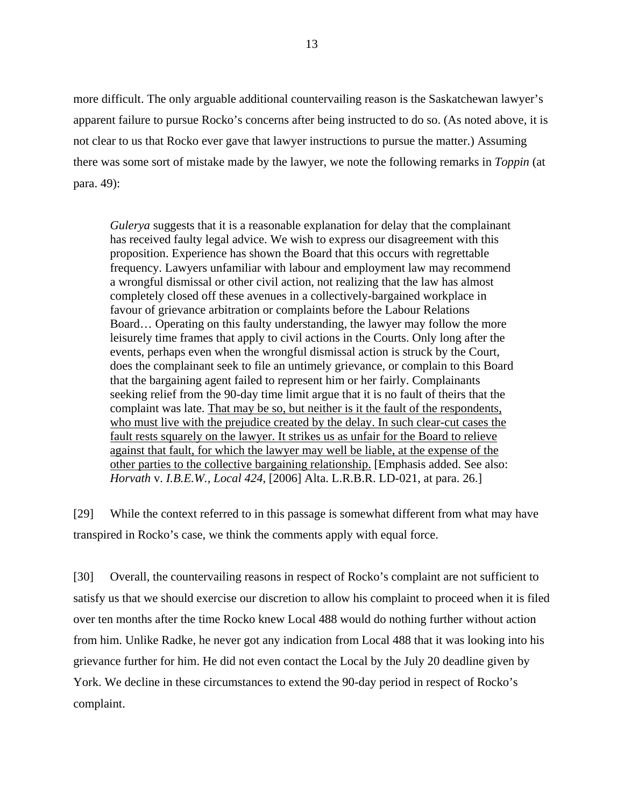more difficult. The only arguable additional countervailing reason is the Saskatchewan lawyer's apparent failure to pursue Rocko's concerns after being instructed to do so. (As noted above, it is not clear to us that Rocko ever gave that lawyer instructions to pursue the matter.) Assuming there was some sort of mistake made by the lawyer, we note the following remarks in *Toppin* (at para. 49):

*Gulerya* suggests that it is a reasonable explanation for delay that the complainant has received faulty legal advice. We wish to express our disagreement with this proposition. Experience has shown the Board that this occurs with regrettable frequency. Lawyers unfamiliar with labour and employment law may recommend a wrongful dismissal or other civil action, not realizing that the law has almost completely closed off these avenues in a collectively-bargained workplace in favour of grievance arbitration or complaints before the Labour Relations Board… Operating on this faulty understanding, the lawyer may follow the more leisurely time frames that apply to civil actions in the Courts. Only long after the events, perhaps even when the wrongful dismissal action is struck by the Court, does the complainant seek to file an untimely grievance, or complain to this Board that the bargaining agent failed to represent him or her fairly. Complainants seeking relief from the 90-day time limit argue that it is no fault of theirs that the complaint was late. That may be so, but neither is it the fault of the respondents, who must live with the prejudice created by the delay. In such clear-cut cases the fault rests squarely on the lawyer. It strikes us as unfair for the Board to relieve against that fault, for which the lawyer may well be liable, at the expense of the other parties to the collective bargaining relationship. [Emphasis added. See also: *Horvath* v. *I.B.E.W., Local 424*, [2006] Alta. L.R.B.R. LD-021, at para. 26.]

[29] While the context referred to in this passage is somewhat different from what may have transpired in Rocko's case, we think the comments apply with equal force.

[30] Overall, the countervailing reasons in respect of Rocko's complaint are not sufficient to satisfy us that we should exercise our discretion to allow his complaint to proceed when it is filed over ten months after the time Rocko knew Local 488 would do nothing further without action from him. Unlike Radke, he never got any indication from Local 488 that it was looking into his grievance further for him. He did not even contact the Local by the July 20 deadline given by York. We decline in these circumstances to extend the 90-day period in respect of Rocko's complaint.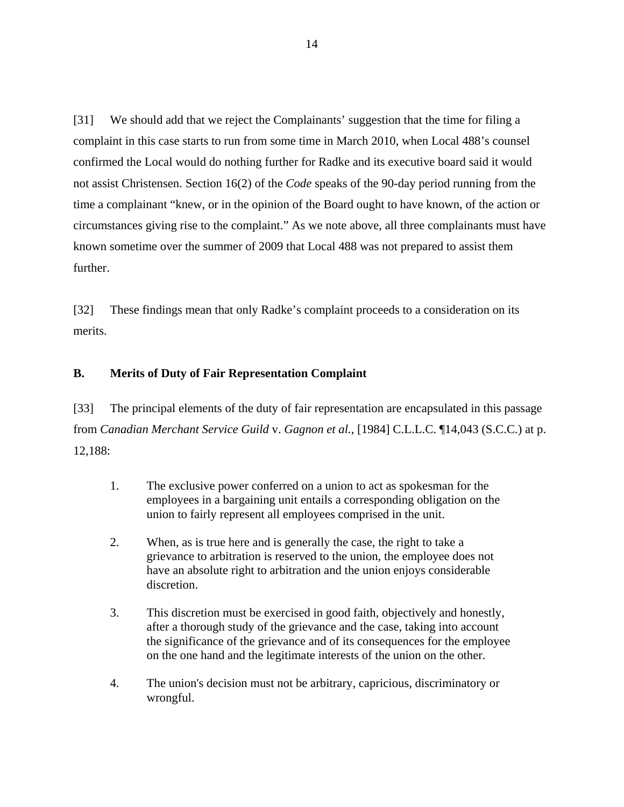[31] We should add that we reject the Complainants' suggestion that the time for filing a complaint in this case starts to run from some time in March 2010, when Local 488's counsel confirmed the Local would do nothing further for Radke and its executive board said it would not assist Christensen. Section 16(2) of the *Code* speaks of the 90-day period running from the time a complainant "knew, or in the opinion of the Board ought to have known, of the action or circumstances giving rise to the complaint." As we note above, all three complainants must have known sometime over the summer of 2009 that Local 488 was not prepared to assist them further.

[32] These findings mean that only Radke's complaint proceeds to a consideration on its merits.

### **B. Merits of Duty of Fair Representation Complaint**

[33] The principal elements of the duty of fair representation are encapsulated in this passage from *Canadian Merchant Service Guild* v. *Gagnon et al.*, [1984] C.L.L.C. ¶14,043 (S.C.C.) at p. 12,188:

- 1. The exclusive power conferred on a union to act as spokesman for the employees in a bargaining unit entails a corresponding obligation on the union to fairly represent all employees comprised in the unit.
- 2. When, as is true here and is generally the case, the right to take a grievance to arbitration is reserved to the union, the employee does not have an absolute right to arbitration and the union enjoys considerable discretion.
- 3. This discretion must be exercised in good faith, objectively and honestly, after a thorough study of the grievance and the case, taking into account the significance of the grievance and of its consequences for the employee on the one hand and the legitimate interests of the union on the other.
- 4. The union's decision must not be arbitrary, capricious, discriminatory or wrongful.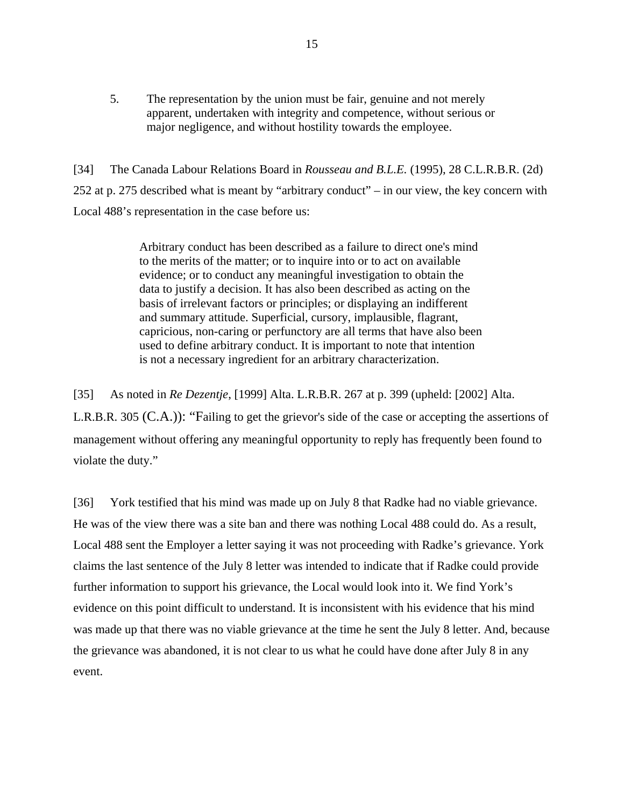5. The representation by the union must be fair, genuine and not merely apparent, undertaken with integrity and competence, without serious or major negligence, and without hostility towards the employee.

[34] The Canada Labour Relations Board in *Rousseau and B.L.E.* (1995), 28 C.L.R.B.R. (2d) 252 at p. 275 described what is meant by "arbitrary conduct" – in our view, the key concern with Local 488's representation in the case before us:

> Arbitrary conduct has been described as a failure to direct one's mind to the merits of the matter; or to inquire into or to act on available evidence; or to conduct any meaningful investigation to obtain the data to justify a decision. It has also been described as acting on the basis of irrelevant factors or principles; or displaying an indifferent and summary attitude. Superficial, cursory, implausible, flagrant, capricious, non-caring or perfunctory are all terms that have also been used to define arbitrary conduct. It is important to note that intention is not a necessary ingredient for an arbitrary characterization.

[35] As noted in *Re Dezentje*, [1999] Alta. L.R.B.R. 267 at p. 399 (upheld: [2002] Alta. L.R.B.R. 305 (C.A.)): "Failing to get the grievor's side of the case or accepting the assertions of management without offering any meaningful opportunity to reply has frequently been found to violate the duty."

[36] York testified that his mind was made up on July 8 that Radke had no viable grievance. He was of the view there was a site ban and there was nothing Local 488 could do. As a result, Local 488 sent the Employer a letter saying it was not proceeding with Radke's grievance. York claims the last sentence of the July 8 letter was intended to indicate that if Radke could provide further information to support his grievance, the Local would look into it. We find York's evidence on this point difficult to understand. It is inconsistent with his evidence that his mind was made up that there was no viable grievance at the time he sent the July 8 letter. And, because the grievance was abandoned, it is not clear to us what he could have done after July 8 in any event.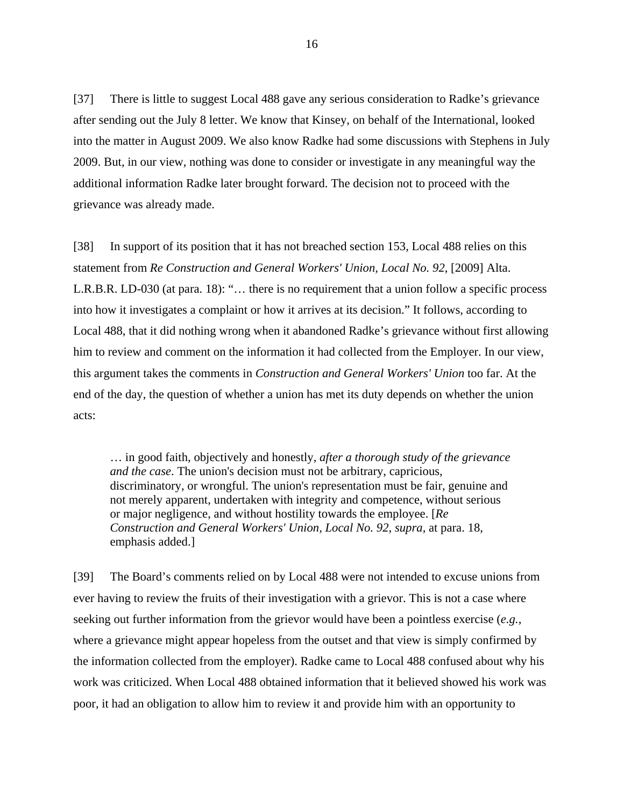[37] There is little to suggest Local 488 gave any serious consideration to Radke's grievance after sending out the July 8 letter. We know that Kinsey, on behalf of the International, looked into the matter in August 2009. We also know Radke had some discussions with Stephens in July 2009. But, in our view, nothing was done to consider or investigate in any meaningful way the additional information Radke later brought forward. The decision not to proceed with the grievance was already made.

[38] In support of its position that it has not breached section 153, Local 488 relies on this statement from *Re Construction and General Workers' Union, Local No. 92*, [\[2009\] Alta.](http://ql.quicklaw.com/servlet/qlwbic.qlwbi?qlsid=C2ZMixbsfHjDJXdx&qlcid=00005&qlvrb=QL002&UGET=Q1400055,ALRB) L.R.B.R. LD-030 (at para. 18): "… there is no requirement that a union follow a specific process into how it investigates a complaint or how it arrives at its decision." It follows, according to Local 488, that it did nothing wrong when it abandoned Radke's grievance without first allowing him to review and comment on the information it had collected from the Employer. In our view, this argument takes the comments in *Construction and General Workers' Union* too far. At the end of the day, the question of whether a union has met its duty depends on whether the union acts:

… in good faith, objectively and honestly, *after a thorough study of the grievance and the case*. The union's decision must not be arbitrary, capricious, discriminatory, or wrongful. The union's representation must be fair, genuine and not merely apparent, undertaken with integrity and competence, without serious or major negligence, and without hostility towards the employee. [*Re Construction and General Workers' Union, Local No. 92, supra,* at para. 18, emphasis added.]

[39] The Board's comments relied on by Local 488 were not intended to excuse unions from ever having to review the fruits of their investigation with a grievor. This is not a case where seeking out further information from the grievor would have been a pointless exercise (*e.g.*, where a grievance might appear hopeless from the outset and that view is simply confirmed by the information collected from the employer). Radke came to Local 488 confused about why his work was criticized. When Local 488 obtained information that it believed showed his work was poor, it had an obligation to allow him to review it and provide him with an opportunity to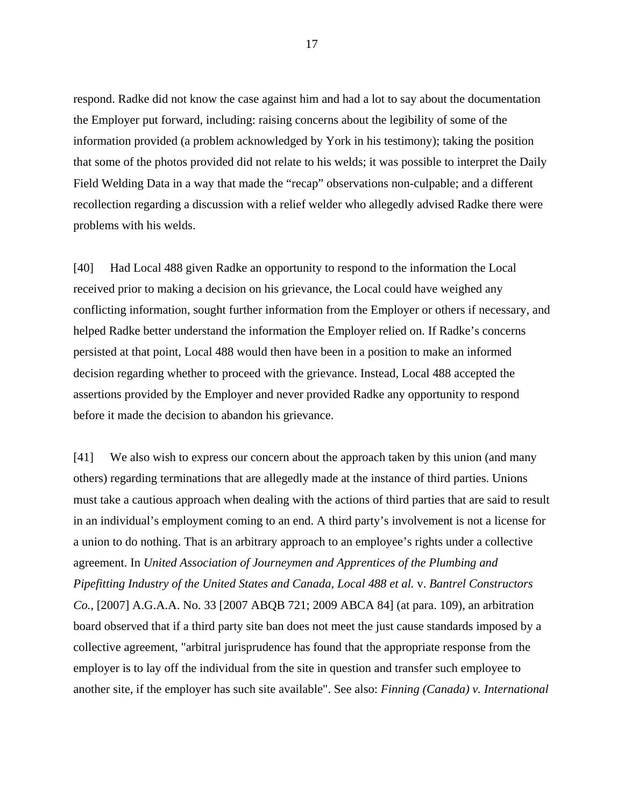respond. Radke did not know the case against him and had a lot to say about the documentation the Employer put forward, including: raising concerns about the legibility of some of the information provided (a problem acknowledged by York in his testimony); taking the position that some of the photos provided did not relate to his welds; it was possible to interpret the Daily Field Welding Data in a way that made the "recap" observations non-culpable; and a different recollection regarding a discussion with a relief welder who allegedly advised Radke there were problems with his welds.

[40] Had Local 488 given Radke an opportunity to respond to the information the Local received prior to making a decision on his grievance, the Local could have weighed any conflicting information, sought further information from the Employer or others if necessary, and helped Radke better understand the information the Employer relied on. If Radke's concerns persisted at that point, Local 488 would then have been in a position to make an informed decision regarding whether to proceed with the grievance. Instead, Local 488 accepted the assertions provided by the Employer and never provided Radke any opportunity to respond before it made the decision to abandon his grievance.

[41] We also wish to express our concern about the approach taken by this union (and many others) regarding terminations that are allegedly made at the instance of third parties. Unions must take a cautious approach when dealing with the actions of third parties that are said to result in an individual's employment coming to an end. A third party's involvement is not a license for a union to do nothing. That is an arbitrary approach to an employee's rights under a collective agreement. In *United Association of Journeymen and Apprentices of the Plumbing and Pipefitting Industry of the United States and Canada, Local 488 et al.* v. *Bantrel Constructors Co.*, [2007] A.G.A.A. No. 33 [2007 ABQB 721; 2009 ABCA 84] (at para. 109), an arbitration board observed that if a third party site ban does not meet the just cause standards imposed by a collective agreement, "arbitral jurisprudence has found that the appropriate response from the employer is to lay off the individual from the site in question and transfer such employee to another site, if the employer has such site available". See also: *Finning (Canada) v. International*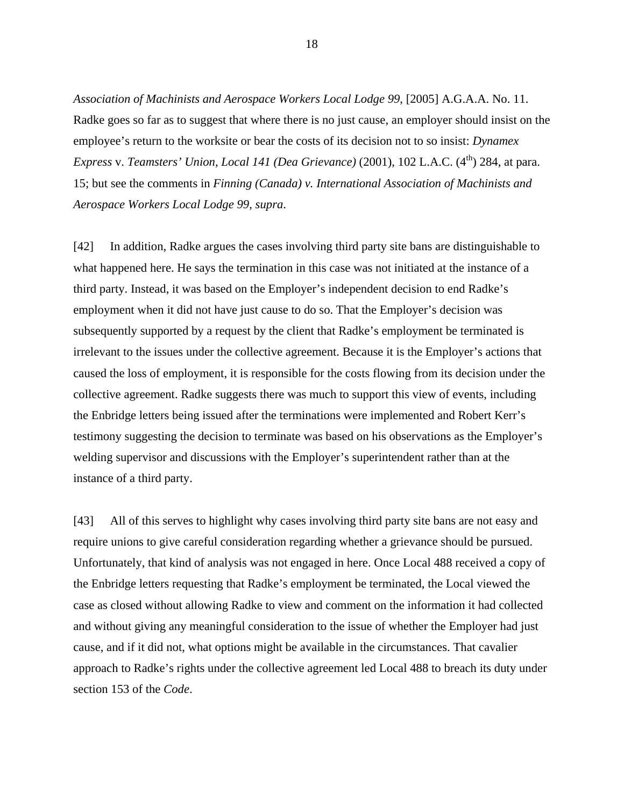*Association of Machinists and Aerospace Workers Local Lodge 99*, [2005] A.G.A.A. No. 11. Radke goes so far as to suggest that where there is no just cause, an employer should insist on the employee's return to the worksite or bear the costs of its decision not to so insist: *Dynamex Express* v. *Teamsters' Union, Local 141 (Dea Grievance)* (2001), 102 L.A.C. (4<sup>th</sup>) 284, at para. 15; but see the comments in *Finning (Canada) v. International Association of Machinists and Aerospace Workers Local Lodge 99*, *supra*.

[42] In addition, Radke argues the cases involving third party site bans are distinguishable to what happened here. He says the termination in this case was not initiated at the instance of a third party. Instead, it was based on the Employer's independent decision to end Radke's employment when it did not have just cause to do so. That the Employer's decision was subsequently supported by a request by the client that Radke's employment be terminated is irrelevant to the issues under the collective agreement. Because it is the Employer's actions that caused the loss of employment, it is responsible for the costs flowing from its decision under the collective agreement. Radke suggests there was much to support this view of events, including the Enbridge letters being issued after the terminations were implemented and Robert Kerr's testimony suggesting the decision to terminate was based on his observations as the Employer's welding supervisor and discussions with the Employer's superintendent rather than at the instance of a third party.

[43] All of this serves to highlight why cases involving third party site bans are not easy and require unions to give careful consideration regarding whether a grievance should be pursued. Unfortunately, that kind of analysis was not engaged in here. Once Local 488 received a copy of the Enbridge letters requesting that Radke's employment be terminated, the Local viewed the case as closed without allowing Radke to view and comment on the information it had collected and without giving any meaningful consideration to the issue of whether the Employer had just cause, and if it did not, what options might be available in the circumstances. That cavalier approach to Radke's rights under the collective agreement led Local 488 to breach its duty under section 153 of the *Code*.